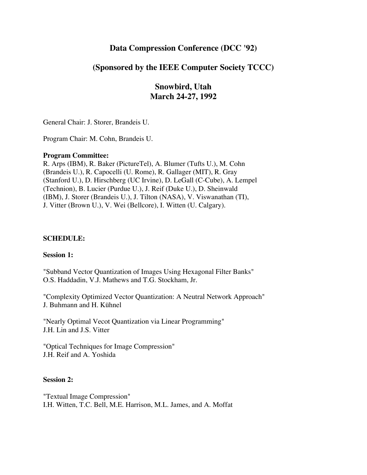# **Data Compression Conference (DCC '92)**

# **(Sponsored by the IEEE Computer Society TCCC)**

**Snowbird, Utah March 24-27, 1992**

General Chair: J. Storer, Brandeis U.

Program Chair: M. Cohn, Brandeis U.

#### **Program Committee:**

R. Arps (IBM), R. Baker (PictureTel), A. Blumer (Tufts U.), M. Cohn (Brandeis U.), R. Capocelli (U. Rome), R. Gallager (MIT), R. Gray (Stanford U.), D. Hirschberg (UC Irvine), D. LeGall (C-Cube), A. Lempel (Technion), B. Lucier (Purdue U.), J. Reif (Duke U.), D. Sheinwald (IBM), J. Storer (Brandeis U.), J. Tilton (NASA), V. Viswanathan (TI), J. Vitter (Brown U.), V. Wei (Bellcore), I. Witten (U. Calgary).

#### **SCHEDULE:**

#### **Session 1:**

"Subband Vector Quantization of Images Using Hexagonal Filter Banks" O.S. Haddadin, V.J. Mathews and T.G. Stockham, Jr.

"Complexity Optimized Vector Quantization: A Neutral Network Approach" J. Buhmann and H. Kühnel

"Nearly Optimal Vecot Quantization via Linear Programming" J.H. Lin and J.S. Vitter

"Optical Techniques for Image Compression" J.H. Reif and A. Yoshida

## **Session 2:**

"Textual Image Compression" I.H. Witten, T.C. Bell, M.E. Harrison, M.L. James, and A. Moffat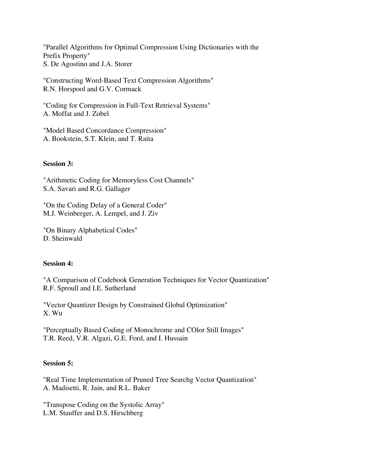"Parallel Algorithms for Optimal Compression Using Dictionaries with the Prefix Property" S. De Agostino and J.A. Storer

"Constructing Word-Based Text Compression Algorithms" R.N. Horspool and G.V. Cormack

"Coding for Compression in Full-Text Retrieval Systems" A. Moffat and J. Zobel

"Model Based Concordance Compression" A. Bookstein, S.T. Klein, and T. Raita

## **Session 3:**

"Arithmetic Coding for Memoryless Cost Channels" S.A. Savari and R.G. Gallager

"On the Coding Delay of a General Coder" M.J. Weinberger, A. Lempel, and J. Ziv

"On Binary Alphabetical Codes" D. Sheinwald

## **Session 4:**

"A Comparison of Codebook Generation Techniques for Vector Quantization" R.F. Sproull and I.E. Sutherland

"Vector Quantizer Design by Constrained Global Optimization" X. Wu

"Perceptually Based Coding of Monochrome and COlor Still Images" T.R. Reed, V.R. Algazi, G.E. Ford, and I. Hussain

## **Session 5:**

"Real Time Implementation of Pruned Tree Searchg Vector Quantization" A. Madisetti, R. Jain, and R.L. Baker

"Transpose Coding on the Systolic Array" L.M. Stauffer and D.S. Hirschberg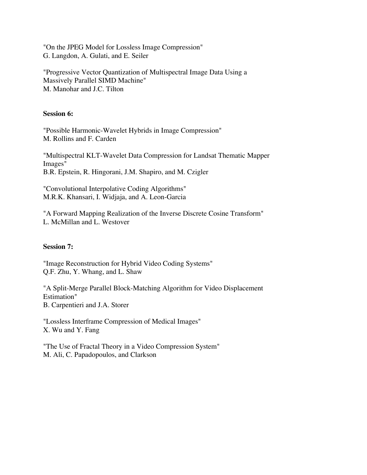"On the JPEG Model for Lossless Image Compression" G. Langdon, A. Gulati, and E. Seiler

"Progressive Vector Quantization of Multispectral Image Data Using a Massively Parallel SIMD Machine" M. Manohar and J.C. Tilton

#### **Session 6:**

"Possible Harmonic-Wavelet Hybrids in Image Compression" M. Rollins and F. Carden

"Multispectral KLT-Wavelet Data Compression for Landsat Thematic Mapper Images" B.R. Epstein, R. Hingorani, J.M. Shapiro, and M. Czigler

"Convolutional Interpolative Coding Algorithms" M.R.K. Khansari, I. Widjaja, and A. Leon-Garcia

"A Forward Mapping Realization of the Inverse Discrete Cosine Transform" L. McMillan and L. Westover

## **Session 7:**

"Image Reconstruction for Hybrid Video Coding Systems" Q.F. Zhu, Y. Whang, and L. Shaw

"A Split-Merge Parallel Block-Matching Algorithm for Video Displacement Estimation" B. Carpentieri and J.A. Storer

"Lossless Interframe Compression of Medical Images" X. Wu and Y. Fang

"The Use of Fractal Theory in a Video Compression System" M. Ali, C. Papadopoulos, and Clarkson